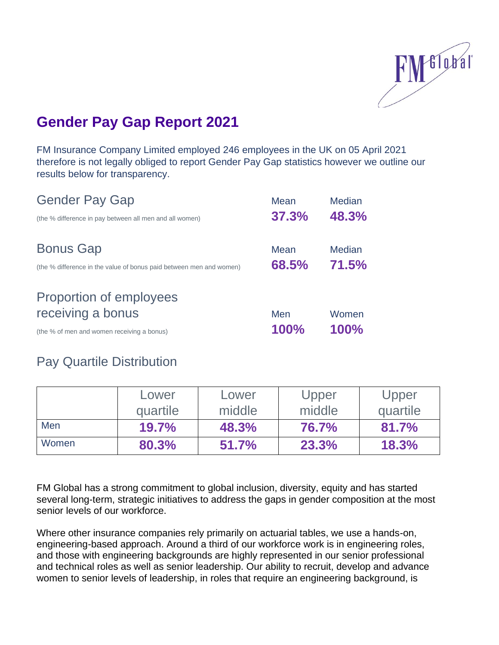

## **Gender Pay Gap Report 2021**

FM Insurance Company Limited employed 246 employees in the UK on 05 April 2021 therefore is not legally obliged to report Gender Pay Gap statistics however we outline our results below for transparency.

| <b>Gender Pay Gap</b>                                                                   | Mean          | <b>Median</b>          |
|-----------------------------------------------------------------------------------------|---------------|------------------------|
| (the % difference in pay between all men and all women)                                 | 37.3%         | 48.3%                  |
| <b>Bonus Gap</b><br>(the % difference in the value of bonus paid between men and women) | Mean<br>68.5% | <b>Median</b><br>71.5% |
| Proportion of employees<br>receiving a bonus                                            | Men           | Women                  |
| (the % of men and women receiving a bonus)                                              | 100%          | 100%                   |

## Pay Quartile Distribution

|       | Lower    | Lower  | Upper  | Upper        |
|-------|----------|--------|--------|--------------|
|       | quartile | middle | middle | quartile     |
| Men   | 19.7%    | 48.3%  | 76.7%  | 81.7%        |
| Women | 80.3%    | 51.7%  | 23.3%  | <b>18.3%</b> |

FM Global has a strong commitment to global inclusion, diversity, equity and has started several long-term, strategic initiatives to address the gaps in gender composition at the most senior levels of our workforce.

Where other insurance companies rely primarily on actuarial tables, we use a hands-on, [engineering-based approach.](https://www.fmglobal.com/products-and-services/services/site-evaluations) Around a third of our workforce work is in engineering roles, and those with engineering backgrounds are highly represented in our senior professional and technical roles as well as senior leadership. Our ability to recruit, develop and advance women to senior levels of leadership, in roles that require an engineering background, is